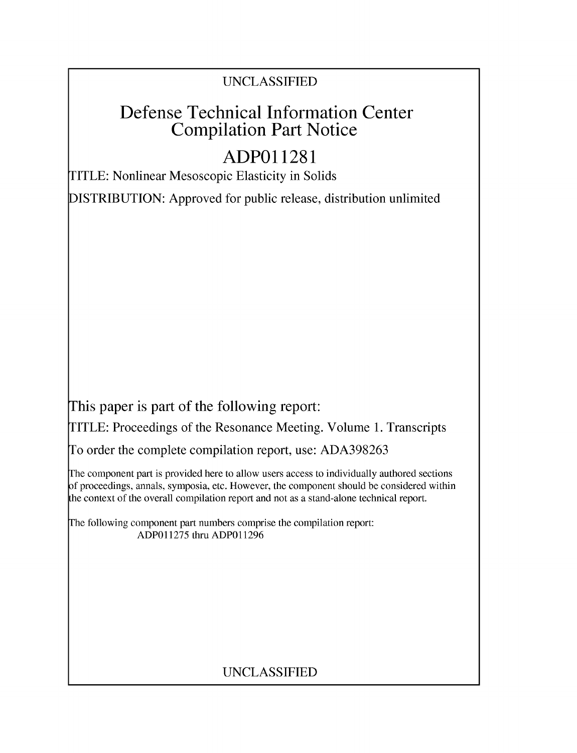# UNCLASSIFIED

# Defense Technical Information Center Compilation Part Notice

# **ADPO 11281**

TITLE: Nonlinear Mesoscopic Elasticity in Solids

DISTRIBUTION: Approved for public release, distribution unlimited

This paper is part of the following report:

TITLE: Proceedings of the Resonance Meeting. Volume 1. Transcripts

To order the complete compilation report, use: ADA398263

The component part is provided here to allow users access to individually authored sections f proceedings, annals, symposia, etc. However, the component should be considered within [he context of the overall compilation report and not as a stand-alone technical report.

The following component part numbers comprise the compilation report: ADP011275 thru ADP011296

## UNCLASSIFIED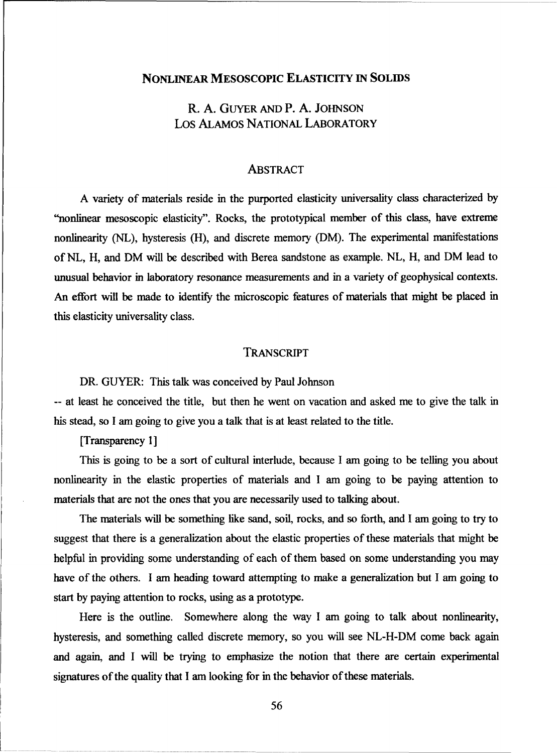## NONLINEAR MESOSCOPIC ELASTICITY IN SOLIDS

## R. A. GUYER AND P. A. JOHNSON Los ALAMOS NATIONAL LABORATORY

#### ABSTRACT

A variety of materials reside in the purported elasticity universality class characterized by "nonlinear mesoscopic elasticity". Rocks, the prototypical member of this class, have extreme nonlinearity (NL), hysteresis (H), and discrete memory (DM). The experimental manifestations of **NL,** H, and DM will be described with Berea sandstone as example. NL, H, and DM lead to unusual behavior in laboratory resonance measurements and in a variety of geophysical contexts. An effort will be made to identify the microscopic features of materials that might be placed in this elasticity universality class.

### TRANSCRIPT

DR. GUYER: This talk was conceived by Paul Johnson

-- at least he conceived the title, but then he went on vacation and asked me to give the talk in his stead, so I am going to give you a talk that is at least related to the title.

[Transparency 1]

This is going to be a sort of cultural interlude, because I am going to be telling you about nonlinearity in the elastic properties of materials and I am going to be paying attention to materials that are not the ones that you are necessarily used to talking about.

The materials will be something like sand, soil, rocks, and so forth, and I am going to try to suggest that there is a generalization about the elastic properties of these materials that might be helpful in providing some understanding of each of them based on some understanding you may have of the others. I am heading toward attempting to make a generalization but I am going to start by paying attention to rocks, using as a prototype.

Here is the outline. Somewhere along the way I am going to talk about nonlinearity, hysteresis, and something called discrete memory, so you will see NL-H-DM come back again and again, and I will be trying to emphasize the notion that there are certain experimental signatures of the quality that I am looking for in the behavior of these materials.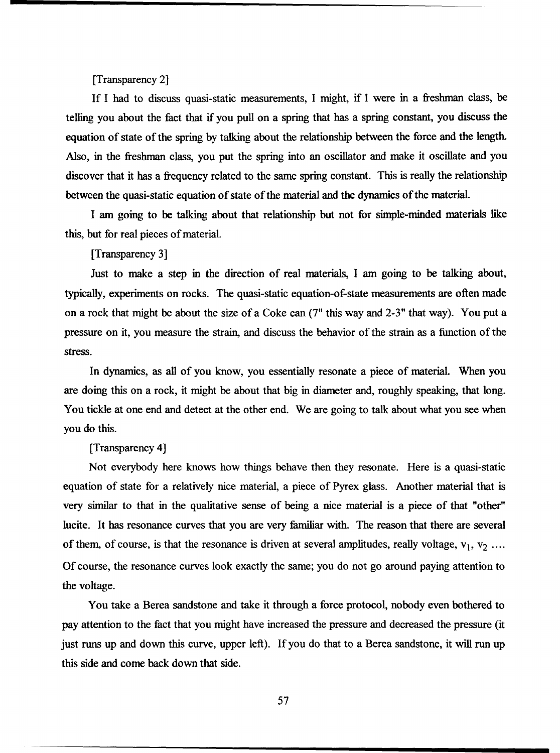[Transparency 2]

If I had to discuss quasi-static measurements, I might, if I were in a freshman class, be telling you about the fact that if you pull on a spring that has a spring constant, you discuss the equation of state of the spring by talking about the relationship between the force and the length. Also, in the freshman class, you put the spring into an oscillator and make it oscillate and you discover that it has a frequency related to the same spring constant. This is really the relationship between the quasi-static equation of state of the material and the dynamics of the material.

I am going to be talking about that relationship but not for simple-minded materials like this, but for real pieces of material.

[Transparency 3]

Just to make a step in the direction of real materials, I am going to be talking about, typically, experiments on rocks. The quasi-static equation-of-state measurements are often made on a rock that might be about the size of a Coke can (7" this way and 2-3" that way). You put a pressure on it, you measure the strain, and discuss the behavior of the strain as a function of the stress.

In dynamics, as all of you know, you essentially resonate a piece of material. When you are doing this on a rock, it might be about that big in diameter and, roughly speaking, that long. You tickle at one end and detect at the other end. We are going to talk about what you see when you do this.

#### [Transparency 4]

Not everybody here knows how things behave then they resonate. Here is a quasi-static equation of state for a relatively nice material, a piece of Pyrex glass. Another material that is very similar to that in the qualitative sense of being a nice material is a piece of that "other" lucite. It has resonance curves that you are very familiar with. The reason that there are several of them, of course, is that the resonance is driven at several amplitudes, really voltage,  $v_1$ ,  $v_2$  .... Of course, the resonance curves look exactly the same; you do not go around paying attention to the voltage.

You take a Berea sandstone and take it through a force protocol, nobody even bothered to pay attention to the fact that you might have increased the pressure and decreased the pressure (it just runs up and down this curve, upper left). If you do that to a Berea sandstone, it will run up this side and come back down that side.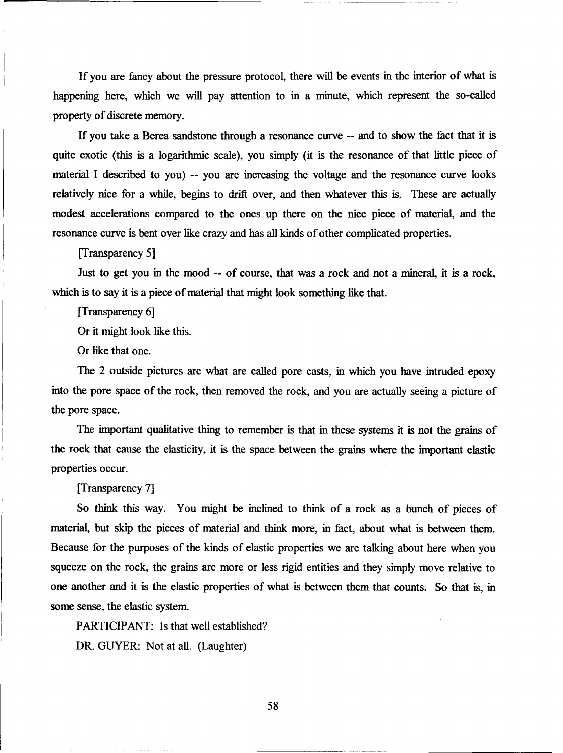If you are fancy about the pressure protocol, there will be events in the interior of what is happening here, which we will pay attention to in a minute, which represent the so-called property of discrete memory.

If you take a Berea sandstone through a resonance curve -- and to show the fact that it is quite exotic (this is a logarithmic scale), you simply (it is the resonance of that little piece of material I described to you) -- you are increasing the voltage and the resonance curve looks relatively nice for a while, begins to drift over, and then whatever this is. These are actually modest accelerations compared to the ones up there on the nice piece of material, and the resonance curve is bent over like crazy and has all kinds of other complicated properties.

[Transparency 5]

Just to get you in the mood -- of course, that was a rock and not a mineral, it is a rock, which is to say it is a piece of material that might look something like that.

[Transparency 6]

Or it might look like this.

Or like that one.

The 2 outside pictures are what are called pore casts, in which you have intruded epoxy into the pore space of the rock, then removed the rock, and you are actually seeing a picture of the pore space.

The important qualitative thing to remember is that in these systems it is not the grains of the rock that cause the elasticity, it is the space between the grains where the important elastic properties occur.

[Transparency 7]

So think this way. You might be inclined to think of a rock as a bunch of pieces of material, but skip the pieces of material and think more, in fact, about what is between them. Because for the purposes of the kinds of elastic properties we are talking about here when you squeeze on the rock, the grains are more or less rigid entities and they simply move relative to one another and it is the elastic properties of what is between them that counts. So that is, in some sense, the elastic system.

PARTICIPANT: Is that well established? DR. GUYER: Not at all. (Laughter)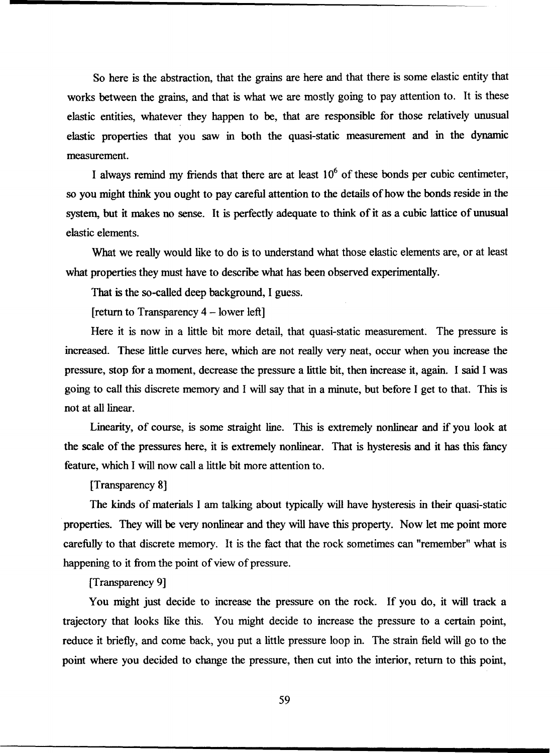So here is the abstraction, that the grains are here and that there is some elastic entity that works between the grains, and that is what we are mostly going to pay attention to. It is these elastic entities, whatever they happen to be, that are responsible for those relatively unusual elastic properties that you saw in both the quasi-static measurement and in the dynamic measurement.

I always remind my friends that there are at least  $10<sup>6</sup>$  of these bonds per cubic centimeter, so you might think you ought to pay careful attention to the details of how the bonds reside in the system, but it makes no sense. It is perfectly adequate to think of it as a cubic lattice of unusual elastic elements.

What we really would like to do is to understand what those elastic elements are, or at least what properties they must have to describe what has been observed experimentally.

That is the so-called deep background, I guess.

[return to Transparency 4 - lower left]

Here it is now in a little bit more detail, that quasi-static measurement. The pressure is increased. These little curves here, which are not really very neat, occur when you increase the pressure, stop for a moment, decrease the pressure a little bit, then increase it, again. I said I was going to call this discrete memory and I will say that in a minute, but before I get to that. This is not at all linear.

Linearity, of course, is some straight line. This is extremely nonlinear and if you look at the scale of the pressures here, it is extremely nonlinear. That is hysteresis and it has this fancy feature, which I will now call a little bit more attention to.

[Transparency 8]

The kinds of materials I am talking about typically will have hysteresis in their quasi-static properties. They will be very nonlinear and they will have this property. Now let me point more carefully to that discrete memory. It is the fact that the rock sometimes can "remember" what is happening to it from the point of view of pressure.

[Transparency 9]

You might just decide to increase the pressure on the rock. If you do, it will track a trajectory that looks like this. You might decide to increase the pressure to a certain point, reduce it briefly, and come back, you put a little pressure loop in. The strain field will go to the point where you decided to change the pressure, then cut into the interior, return to this point,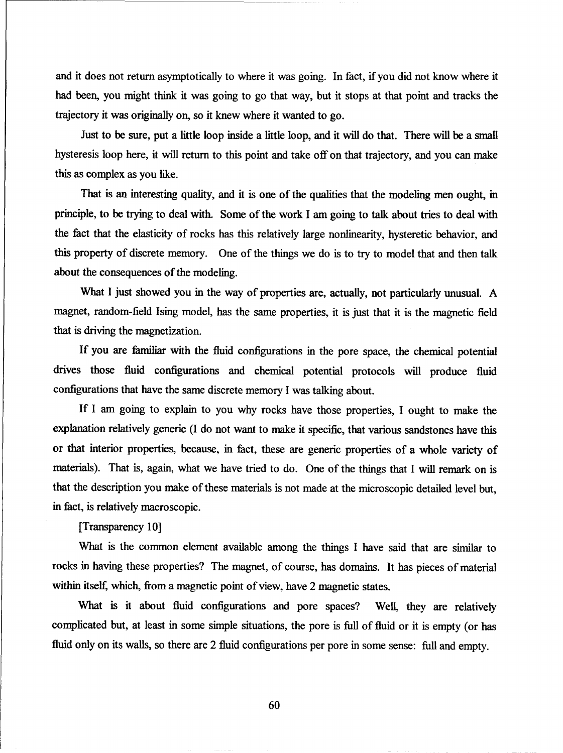and it does not return asymptotically to where it was going. In fact, if you did not know where it had been, you might think it was going to go that way, but it stops at that point and tracks the trajectory it was originally on, so it knew where it wanted to go.

Just to be sure, put a little loop inside a little loop, and it will do that. There will be a small hysteresis loop here, it will return to this point and take off on that trajectory, and you can make this as complex as you like.

That is an interesting quality, and it is one of the qualities that the modeling men ought, in principle, to be trying to deal with. Some of the work I am going to talk about tries to deal with the fact that the elasticity of rocks has this relatively large nonlinearity, hysteretic behavior, and this property of discrete memory. One of the things we do is to try to model that and then talk about the consequences of the modeling.

What I just showed you in the way of properties are, actually, not particularly unusual. A magnet, random-field Ising model, has the same properties, it is just that it is the magnetic field that is driving the magnetization.

If you are familiar with the fluid configurations in the pore space, the chemical potential drives those fluid configurations and chemical potential protocols will produce fluid configurations that have the same discrete memory I was talking about.

If I am going to explain to you why rocks have those properties, I ought to make the explanation relatively generic (I do not want to make it specific, that various sandstones have this or that interior properties, because, in fact, these are generic properties of a whole variety of materials). That is, again, what we have tried to do. One of the things that I will remark on is that the description you make of these materials is not made at the microscopic detailed level but, in fact, is relatively macroscopic.

[Transparency **10]**

What is the common element available among the things I have said that are similar to rocks in having these properties? The magnet, of course, has domains. It has pieces of material within itself, which, from a magnetic point of view, have 2 magnetic states.

What is it about fluid configurations and pore spaces? Well, they are relatively complicated but, at least in some simple situations, the pore is full of fluid or it is empty (or has fluid only on its walls, so there are 2 fluid configurations per pore in some sense: full and empty.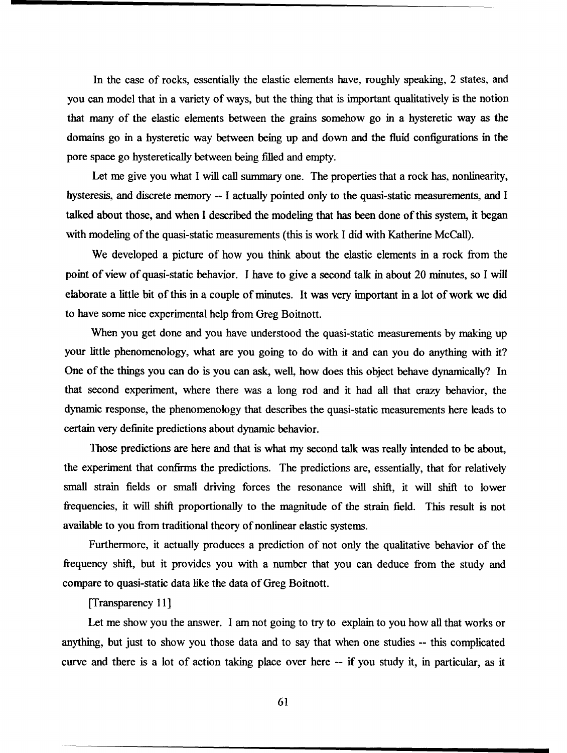In the case of rocks, essentially the elastic elements have, roughly speaking, 2 states, and you can model that in a variety of ways, but the thing that is important qualitatively is the notion that many of the elastic elements between the grains somehow go in a hysteretic way as the domains go in a hysteretic way between being up and down and the fluid configurations in the pore space go hysteretically between being filled and empty.

Let me give you what I will call summary one. The properties that a rock has, nonlinearity, hysteresis, and discrete memory -- I actually pointed only to the quasi-static measurements, and I talked about those, and when I described the modeling that has been done of this system, it began with modeling of the quasi-static measurements (this is work I did with Katherine McCall).

We developed a picture of how you think about the elastic elements in a rock from the point of view of quasi-static behavior. I have to give a second talk in about 20 minutes, so I will elaborate a little bit of this in a couple of minutes. It was very important in a lot of work we did to have some nice experimental help from Greg Boitnott.

When you get done and you have understood the quasi-static measurements by making up your little phenomenology, what are you going to do with it and can you do anything with it? One of the things you can do is you can ask, well, how does this object behave dynamically? In that second experiment, where there was a long rod and it had all that crazy behavior, the dynamic response, the phenomenology that describes the quasi-static measurements here leads to certain very definite predictions about dynamic behavior.

Those predictions are here and that is what my second talk was really intended to be about, the experiment that confirms the predictions. The predictions are, essentially, that for relatively small strain fields or small driving forces the resonance will shift, it will shift to lower frequencies, it will shift proportionally to the magnitude of the strain field. This result is not available to you from traditional theory of nonlinear elastic systems.

Furthermore, it actually produces a prediction of not only the qualitative behavior of the frequency shift, but it provides you with a number that you can deduce from the study and compare to quasi-static data like the data of Greg Boitnott.

### [Transparency 11]

Let me show you the answer. I am not going to try to explain to you how all that works or anything, but just to show you those data and to say that when one studies -- this complicated curve and there is a lot of action taking place over here -- if you study it, in particular, as it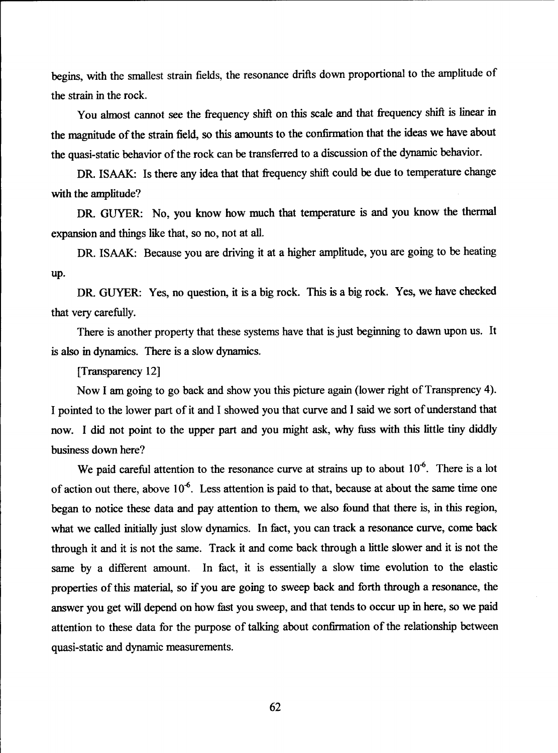begins, with the smallest strain fields, the resonance drifts down proportional to the amplitude of the strain in the rock.

You almost cannot see the frequency shift on this scale and that frequency shift is linear in the magnitude of the strain field, so this amounts to the confirmation that the ideas we have about the quasi-static behavior of the rock can be transferred to a discussion of the dynamic behavior.

DR. ISAAK: Is there any idea that that frequency shift could be due to temperature change with the amplitude?

DR. GUYER: No, you know how much that temperature is and you know the thermal expansion and things like that, so no, not at all.

DR. ISAAK: Because you are driving it at a higher amplitude, you are going to be heating up.

DR. GUYER: Yes, no question, it is a big rock. This is a big rock. Yes, we have checked that very carefully.

There is another property that these systems have that is just beginning to dawn upon us. It is also in dynamics. There is a slow dynamics.

[Transparency 12]

Now I am going to go back and show you this picture again (lower right of Transprency 4). I pointed to the lower part of it and I showed you that curve and I said we sort of understand that now. I did not point to the upper part and you might ask, why fuss with this little tiny diddly business down here?

We paid careful attention to the resonance curve at strains up to about 10<sup>-6</sup>. There is a lot of action out there, above **10\*6.** Less attention is paid to that, because at about the same time one began to notice these data and pay attention to them, we also found that there is, in this region, what we called initially just slow dynamics. In fact, you can track a resonance curve, come back through it and it is not the same. Track it and come back through a little slower and it is not the same by a different amount. In fact, it is essentially a slow time evolution to the elastic properties of this material, so if you are going to sweep back and forth through a resonance, the answer you get will depend on how fist you sweep, and that tends to occur up in here, so we paid attention to these data for the purpose of talking about confirmation of the relationship between quasi-static and dynamic measurements.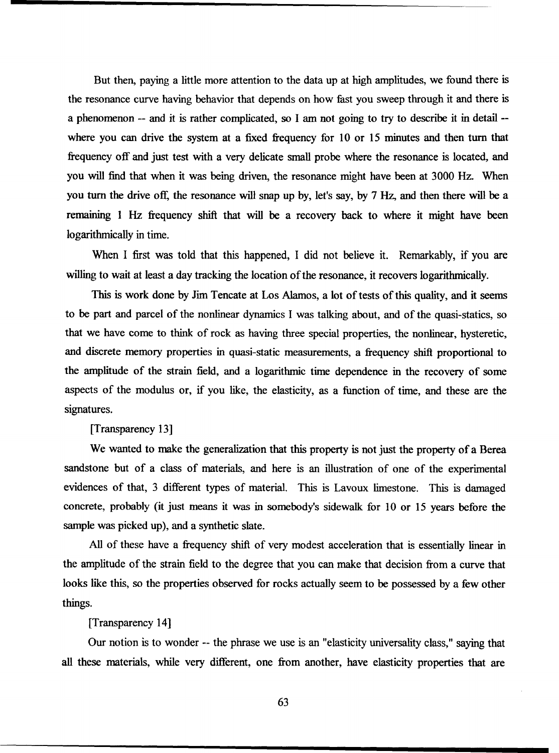But then, paying a little more attention to the data up at high amplitudes, we found there is the resonance curve having behavior that depends on how fast you sweep through it and there is a phenomenon -- and it is rather complicated, so I am not going to try to describe it in detail - where you can drive the system at a fixed frequency for 10 or 15 minutes and then turn that frequency off and just test with a very delicate small probe where the resonance is located, and you will find that when it was being driven, the resonance might have been at 3000 Hz. When you turn the drive off, the resonance will snap up by, let's say, by 7 Hz, and then there will be a remaining 1 Hz frequency shift that will be a recovery back to where it might have been logarithmically in time.

When I first was told that this happened, I did not believe it. Remarkably, if you are willing to wait at least a day tracking the location of the resonance, it recovers logarithmically.

This is work done by Jim Tencate at Los Alamos, a lot of tests of this quality, and it seems to be part and parcel of the nonlinear dynamics I was talking about, and of the quasi-statics, so that we have come to think of rock as having three special properties, the nonlinear, hysteretic, and discrete memory properties in quasi-static measurements, a frequency shift proportional to the amplitude of the strain field, and a logarithmic time dependence in the recovery of some aspects of the modulus or, if you like, the elasticity, as a function of time, and these are the signatures.

[Transparency 13]

We wanted to make the generalization that this property is not just the property of a Berea sandstone but of a class of materials, and here is an illustration of one of the experimental evidences of that, 3 different types of material. This is Lavoux limestone. This is damaged concrete, probably (it just means it was in somebody's sidewalk for 10 or 15 years before the sample was picked up), and a synthetic slate.

All of these have a frequency shift of very modest acceleration that is essentially linear in the amplitude of the strain field to the degree that you can make that decision from a curve that looks like this, so the properties observed for rocks actually seem to be possessed by a few other things.

[Transparency 14]

Our notion is to wonder -- the phrase we use is an "elasticity universality class," saying that all these materials, while very different, one from another, have elasticity properties that are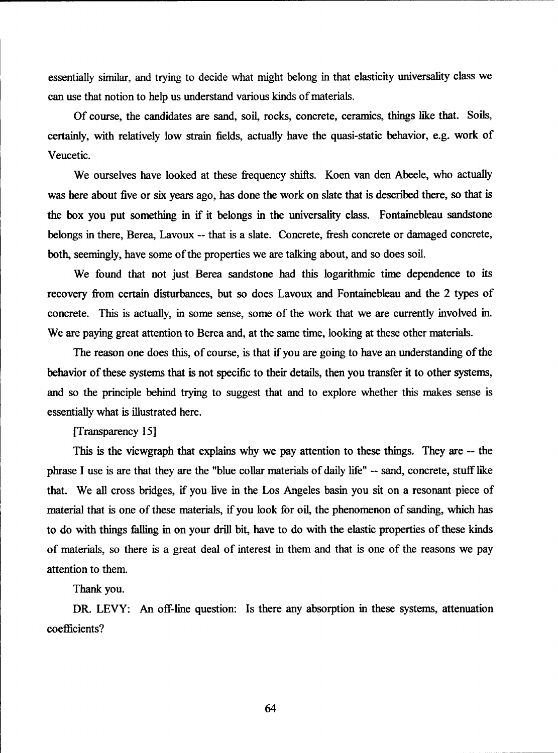essentially similar, and trying to decide what might belong in that elasticity universality class we can use that notion to help us understand various kinds of materials.

Of course, the candidates are sand, soil, rocks, concrete, ceramics, things like that. Soils, certainly, with relatively low strain fields, actually have the quasi-static behavior, e.g. work of Veucetic.

We ourselves have looked at these frequency shifts. Koen van den Abeele, who actually was here about five or six years ago, has done the work on slate that is described there, so that is the box you put something in if it belongs in the universality class. Fontainebleau sandstone belongs in there, Berea, Lavoux -- that is a slate. Concrete, fresh concrete or damaged concrete, both, seemingly, have some of the properties we are talking about, and so does soil.

We found that not just Berea sandstone had this logarithmic time dependence to its recovery from certain disturbances, but so does Lavoux and Fontainebleau and the 2 types of concrete. This is actually, in some sense, some of the work that we are currently involved in. We are paying great attention to Berea and, at the same time, looking at these other materials.

The reason one does this, of course, is that if you are going to have an understanding of the behavior of these systems that is not specific to their details, then you transfer it to other systems, and so the principle behind trying to suggest that and to explore whether this makes sense is essentially what is illustrated here.

#### [Transparency 15]

This is the viewgraph that explains why we pay attention to these things. They are -- the phrase I use is are that they are the "blue collar materials of daily life" -- sand, concrete, stuff like that. We all cross bridges, if you live in the Los Angeles basin you sit on a resonant piece of material that is one of these materials, if you look for oil, the phenomenon of sanding, which has to do with things falling in on your drill bit, have to do with the elastic properties of these kinds of materials, so there is a great deal of interest in them and that is one of the reasons we pay attention to them.

Thank you.

DR. LEVY: An off-line question: Is there any absorption in these systems, attenuation coefficients?